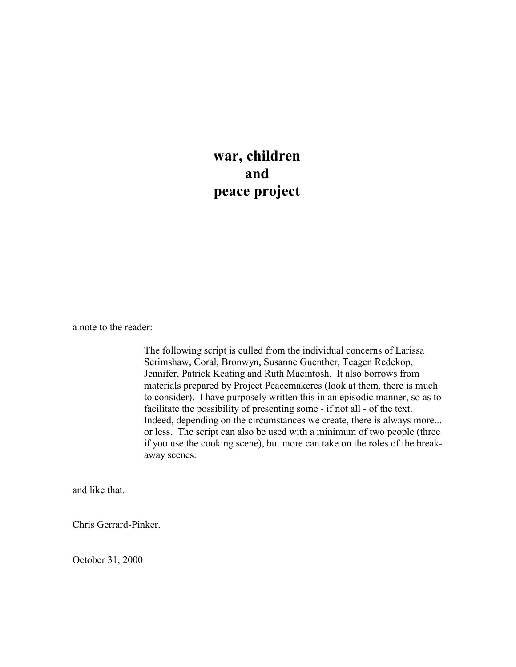**war, children and peace project**

a note to the reader:

The following script is culled from the individual concerns of Larissa Scrimshaw, Coral, Bronwyn, Susanne Guenther, Teagen Redekop, Jennifer, Patrick Keating and Ruth Macintosh. It also borrows from materials prepared by Project Peacemakeres (look at them, there is much to consider). I have purposely written this in an episodic manner, so as to facilitate the possibility of presenting some - if not all - of the text. Indeed, depending on the circumstances we create, there is always more... or less. The script can also be used with a minimum of two people (three if you use the cooking scene), but more can take on the roles of the breakaway scenes.

and like that.

Chris Gerrard-Pinker.

October 31, 2000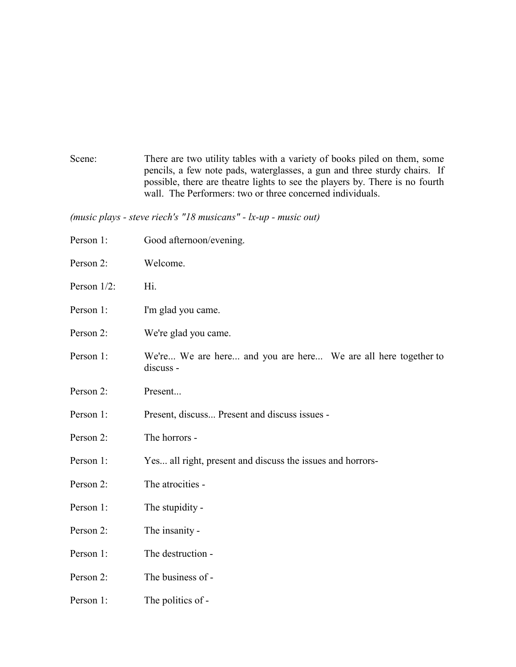Scene: There are two utility tables with a variety of books piled on them, some pencils, a few note pads, waterglasses, a gun and three sturdy chairs. If possible, there are theatre lights to see the players by. There is no fourth wall. The Performers: two or three concerned individuals.

*(music plays - steve riech's "18 musicans" - lx-up - music out)*

Person 1: Good afternoon/evening. Person 2: Welcome. Person  $1/2$ : Hi. Person 1: I'm glad you came. Person 2: We're glad you came. Person 1: We're... We are here... and you are here... We are all here together to discuss - Person 2: Present... Person 1: Present, discuss... Present and discuss issues - Person 2: The horrors - Person 1: Yes... all right, present and discuss the issues and horrors-Person 2: The atrocities -Person 1: The stupidity -Person 2: The insanity -Person 1: The destruction -Person 2: The business of -Person 1: The politics of -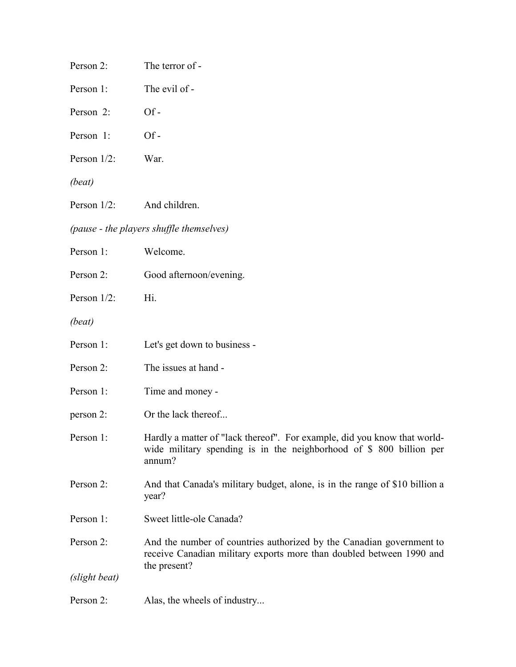| Person 2:     | The terror of -                                                                                                                                              |
|---------------|--------------------------------------------------------------------------------------------------------------------------------------------------------------|
| Person 1:     | The evil of -                                                                                                                                                |
| Person 2:     | $Of-$                                                                                                                                                        |
| Person 1:     | $Of-$                                                                                                                                                        |
| Person 1/2:   | War.                                                                                                                                                         |
| (beat)        |                                                                                                                                                              |
| Person 1/2:   | And children.                                                                                                                                                |
|               | (pause - the players shuffle themselves)                                                                                                                     |
| Person 1:     | Welcome.                                                                                                                                                     |
| Person 2:     | Good afternoon/evening.                                                                                                                                      |
| Person 1/2:   | Hi.                                                                                                                                                          |
| (beat)        |                                                                                                                                                              |
| Person 1:     | Let's get down to business -                                                                                                                                 |
| Person 2:     | The issues at hand -                                                                                                                                         |
| Person 1:     | Time and money -                                                                                                                                             |
| person 2:     | Or the lack thereof                                                                                                                                          |
| Person 1:     | Hardly a matter of "lack thereof". For example, did you know that world-<br>wide military spending is in the neighborhood of $$800$ billion per<br>annum?    |
| Person 2:     | And that Canada's military budget, alone, is in the range of \$10 billion a<br>year?                                                                         |
| Person 1:     | Sweet little-ole Canada?                                                                                                                                     |
| Person 2:     | And the number of countries authorized by the Canadian government to<br>receive Canadian military exports more than doubled between 1990 and<br>the present? |
| (slight beat) |                                                                                                                                                              |
| Person 2:     | Alas, the wheels of industry                                                                                                                                 |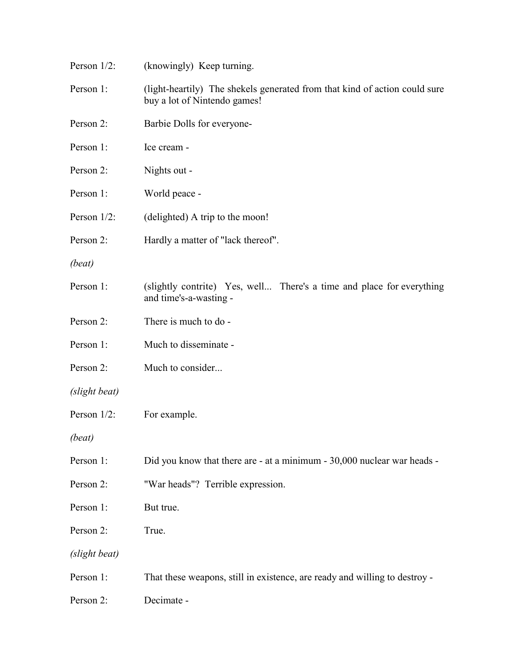| Person 1/2:    | (knowingly) Keep turning.                                                                                  |
|----------------|------------------------------------------------------------------------------------------------------------|
| Person 1:      | (light-heartily) The shekels generated from that kind of action could sure<br>buy a lot of Nintendo games! |
| Person 2:      | Barbie Dolls for everyone-                                                                                 |
| Person 1:      | Ice cream -                                                                                                |
| Person 2:      | Nights out -                                                                                               |
| Person 1:      | World peace -                                                                                              |
| Person $1/2$ : | (delighted) A trip to the moon!                                                                            |
| Person 2:      | Hardly a matter of "lack thereof".                                                                         |
| (beat)         |                                                                                                            |
| Person 1:      | (slightly contrite) Yes, well There's a time and place for everything<br>and time's-a-wasting -            |
| Person 2:      | There is much to do -                                                                                      |
| Person 1:      | Much to disseminate -                                                                                      |
| Person 2:      | Much to consider                                                                                           |
| (slight beat)  |                                                                                                            |
| Person $1/2$ : | For example.                                                                                               |
| (beat)         |                                                                                                            |
| Person 1:      | Did you know that there are - at a minimum - 30,000 nuclear war heads -                                    |
| Person 2:      | "War heads"? Terrible expression.                                                                          |
| Person 1:      | But true.                                                                                                  |
| Person 2:      | True.                                                                                                      |
| (slight beat)  |                                                                                                            |
| Person 1:      | That these weapons, still in existence, are ready and willing to destroy -                                 |
| Person 2:      | Decimate -                                                                                                 |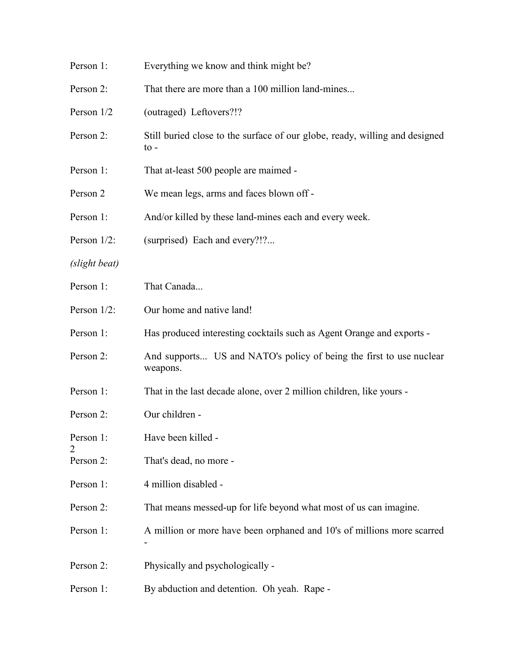| Person 1:      | Everything we know and think might be?                                                         |
|----------------|------------------------------------------------------------------------------------------------|
| Person 2:      | That there are more than a 100 million land-mines                                              |
| Person 1/2     | (outraged) Leftovers?!?                                                                        |
| Person 2:      | Still buried close to the surface of our globe, ready, willing and designed<br>$\mathrm{to}$ - |
| Person 1:      | That at-least 500 people are maimed -                                                          |
| Person 2       | We mean legs, arms and faces blown off -                                                       |
| Person 1:      | And/or killed by these land-mines each and every week.                                         |
| Person 1/2:    | (surprised) Each and every?!?                                                                  |
| (slight beat)  |                                                                                                |
| Person 1:      | That Canada                                                                                    |
| Person 1/2:    | Our home and native land!                                                                      |
| Person 1:      | Has produced interesting cocktails such as Agent Orange and exports -                          |
| Person 2:      | And supports US and NATO's policy of being the first to use nuclear<br>weapons.                |
| Person 1:      | That in the last decade alone, over 2 million children, like yours -                           |
| Person 2:      | Our children -                                                                                 |
| Person 1:      | Have been killed -                                                                             |
| 2<br>Person 2: | That's dead, no more -                                                                         |
| Person 1:      | 4 million disabled -                                                                           |
| Person 2:      | That means messed-up for life beyond what most of us can imagine.                              |
| Person 1:      | A million or more have been orphaned and 10's of millions more scarred                         |
| Person 2:      | Physically and psychologically -                                                               |
| Person 1:      | By abduction and detention. Oh yeah. Rape -                                                    |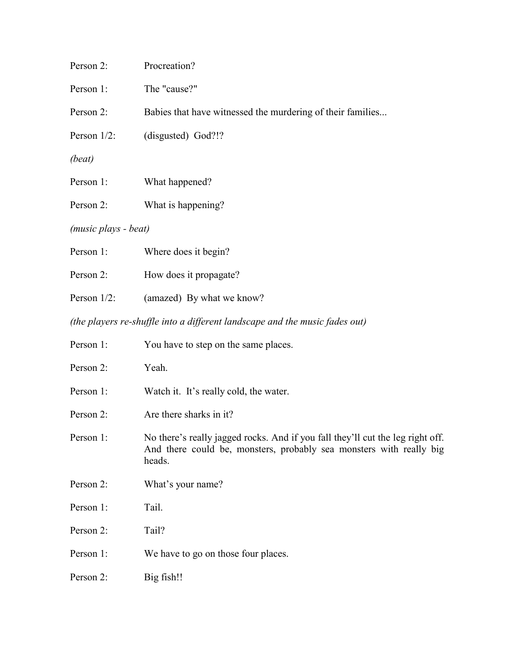| Person 2:            | Procreation?                                                                                                                                                    |
|----------------------|-----------------------------------------------------------------------------------------------------------------------------------------------------------------|
| Person 1:            | The "cause?"                                                                                                                                                    |
| Person 2:            | Babies that have witnessed the murdering of their families                                                                                                      |
| Person 1/2:          | (disgusted) God?!?                                                                                                                                              |
| (beat)               |                                                                                                                                                                 |
| Person 1:            | What happened?                                                                                                                                                  |
| Person 2:            | What is happening?                                                                                                                                              |
| (music plays - beat) |                                                                                                                                                                 |
| Person 1:            | Where does it begin?                                                                                                                                            |
| Person 2:            | How does it propagate?                                                                                                                                          |
| Person 1/2:          | (amazed) By what we know?                                                                                                                                       |
|                      | (the players re-shuffle into a different landscape and the music fades out)                                                                                     |
| Person 1:            | You have to step on the same places.                                                                                                                            |
| Person 2:            | Yeah.                                                                                                                                                           |
| Person 1:            | Watch it. It's really cold, the water.                                                                                                                          |
| Person 2:            | Are there sharks in it?                                                                                                                                         |
| Person 1:            | No there's really jagged rocks. And if you fall they'll cut the leg right off.<br>And there could be, monsters, probably sea monsters with really big<br>heads. |
| Person 2:            | What's your name?                                                                                                                                               |
| Person 1:            | Tail.                                                                                                                                                           |
| Person 2:            | Tail?                                                                                                                                                           |
| Person 1:            | We have to go on those four places.                                                                                                                             |
| Person 2:            | Big fish!!                                                                                                                                                      |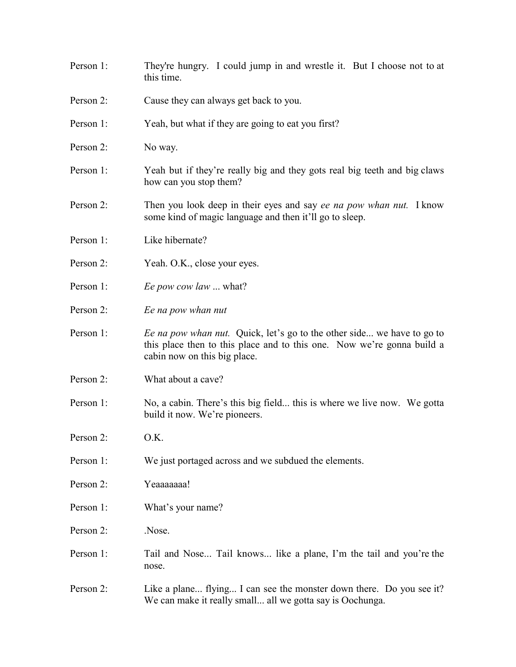- Person 1: They're hungry. I could jump in and wrestle it. But I choose not to at this time.
- Person 2: Cause they can always get back to you.
- Person 1: Yeah, but what if they are going to eat you first?
- Person 2: No way.
- Person 1: Yeah but if they're really big and they gots real big teeth and big claws how can you stop them?
- Person 2: Then you look deep in their eyes and say *ee na pow whan nut.* I know some kind of magic language and then it'll go to sleep.
- Person 1: Like hibernate?
- Person 2: Yeah. O.K., close your eyes.
- Person 1: *Ee pow cow law* ... what?
- Person 2: *Ee na pow whan nut*
- Person 1: *Ee na pow whan nut.* Quick, let's go to the other side... we have to go to this place then to this place and to this one. Now we're gonna build a cabin now on this big place.
- Person 2: What about a cave?
- Person 1: No, a cabin. There's this big field... this is where we live now. We gotta build it now. We're pioneers.
- Person  $2^{\circ}$  O.K.
- Person 1: We just portaged across and we subdued the elements.
- Person 2: Yeaaaaaaaa!
- Person 1: What's your name?
- Person  $2^{\circ}$  Nose.
- Person 1: Tail and Nose... Tail knows... like a plane, I'm the tail and you're the nose.
- Person 2: Like a plane... flying... I can see the monster down there. Do you see it? We can make it really small... all we gotta say is Oochunga.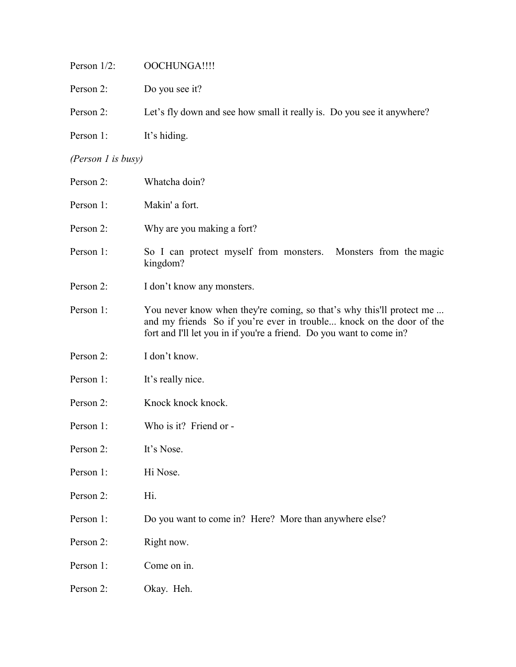| Person 1/2:        | OOCHUNGA!!!!                                                                                                                                                                                                         |
|--------------------|----------------------------------------------------------------------------------------------------------------------------------------------------------------------------------------------------------------------|
| Person 2:          | Do you see it?                                                                                                                                                                                                       |
| Person 2:          | Let's fly down and see how small it really is. Do you see it anywhere?                                                                                                                                               |
| Person 1:          | It's hiding.                                                                                                                                                                                                         |
| (Person 1 is busy) |                                                                                                                                                                                                                      |
| Person 2:          | Whatcha doin?                                                                                                                                                                                                        |
| Person 1:          | Makin' a fort.                                                                                                                                                                                                       |
| Person 2:          | Why are you making a fort?                                                                                                                                                                                           |
| Person 1:          | So I can protect myself from monsters. Monsters from the magic<br>kingdom?                                                                                                                                           |
| Person 2:          | I don't know any monsters.                                                                                                                                                                                           |
| Person 1:          | You never know when they're coming, so that's why this'll protect me<br>and my friends So if you're ever in trouble knock on the door of the<br>fort and I'll let you in if you're a friend. Do you want to come in? |
| Person 2:          | I don't know.                                                                                                                                                                                                        |
| Person 1:          | It's really nice.                                                                                                                                                                                                    |
| Person 2:          | Knock knock knock.                                                                                                                                                                                                   |
| Person 1:          | Who is it? Friend or -                                                                                                                                                                                               |
| Person 2:          | It's Nose.                                                                                                                                                                                                           |
| Person 1:          | Hi Nose.                                                                                                                                                                                                             |
| Person 2:          | Hi.                                                                                                                                                                                                                  |
| Person 1:          | Do you want to come in? Here? More than anywhere else?                                                                                                                                                               |
| Person 2:          | Right now.                                                                                                                                                                                                           |
| Person 1:          | Come on in.                                                                                                                                                                                                          |
| Person 2:          | Okay. Heh.                                                                                                                                                                                                           |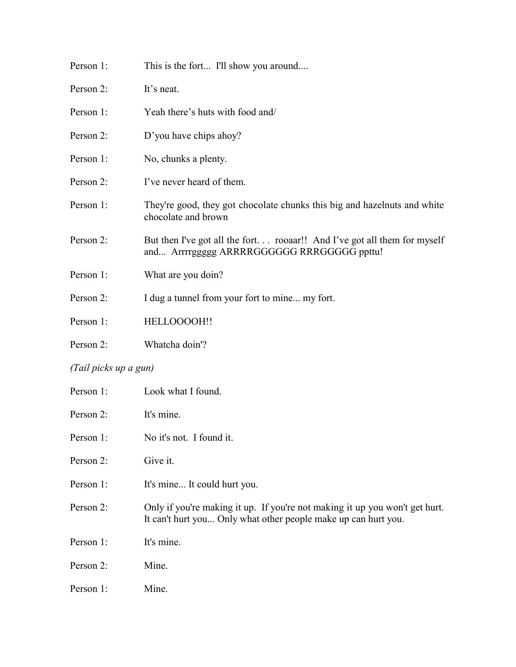| Person 1:             | This is the fort I'll show you around                                                                                  |  |
|-----------------------|------------------------------------------------------------------------------------------------------------------------|--|
| Person 2:             | It's neat.                                                                                                             |  |
| Person 1:             | Yeah there's huts with food and/                                                                                       |  |
| Person 2:             | D'you have chips ahoy?                                                                                                 |  |
| Person 1:             | No, chunks a plenty.                                                                                                   |  |
| Person 2:             | I've never heard of them.                                                                                              |  |
| Person 1:             | They're good, they got chocolate chunks this big and hazelnuts and white<br>chocolate and brown                        |  |
| Person 2:             | But then I've got all the fort rooaar!! And I've got all them for myself<br>and Arrrrggggg ARRRRGGGGGG RRRGGGGG ppttu! |  |
| Person 1:             | What are you doin?                                                                                                     |  |
| Person 2:             | I dug a tunnel from your fort to mine my fort.                                                                         |  |
| Person 1:             | HELLOOOOH!!                                                                                                            |  |
| Person 2:             | Whatcha doin'?                                                                                                         |  |
| (Tail picks up a gun) |                                                                                                                        |  |
| Person 1:             | Look what I found.                                                                                                     |  |
| Person 2:             | It's mine.                                                                                                             |  |
| Person 1:             | No it's not. I found it.                                                                                               |  |
| Person 2:             | Give it.                                                                                                               |  |
| Person 1:             | It's mine It could hurt you.                                                                                           |  |

- Person 2: Only if you're making it up. If you're not making it up you won't get hurt. It can't hurt you... Only what other people make up can hurt you.
- Person 1: It's mine.
- Person 2: Mine.
- Person 1: Mine.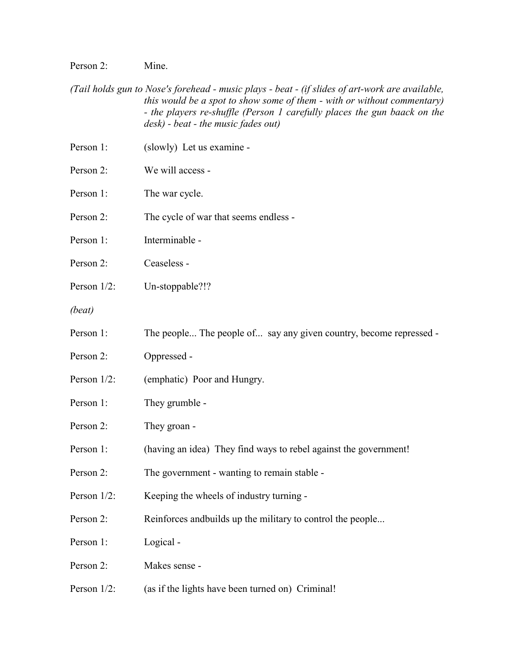Person 2: Mine.

*(Tail holds gun to Nose's forehead - music plays - beat - (if slides of art-work are available, this would be a spot to show some of them - with or without commentary) - the players re-shuffle (Person 1 carefully places the gun baack on the desk) - beat - the music fades out)*

| Person 1:   | (slowly) Let us examine -                                          |
|-------------|--------------------------------------------------------------------|
| Person 2:   | We will access -                                                   |
| Person 1:   | The war cycle.                                                     |
| Person 2:   | The cycle of war that seems endless -                              |
| Person 1:   | Interminable -                                                     |
| Person 2:   | Ceaseless -                                                        |
| Person 1/2: | Un-stoppable?!?                                                    |
| (beat)      |                                                                    |
| Person 1:   | The people The people of say any given country, become repressed - |
| Person 2:   | Oppressed -                                                        |
| Person 1/2: | (emphatic) Poor and Hungry.                                        |
| Person 1:   | They grumble -                                                     |
| Person 2:   | They groan -                                                       |
| Person 1:   | (having an idea) They find ways to rebel against the government!   |
| Person 2:   | The government - wanting to remain stable -                        |
| Person 1/2: | Keeping the wheels of industry turning -                           |
| Person 2:   | Reinforces and builds up the military to control the people        |
| Person 1:   | Logical -                                                          |
| Person 2:   | Makes sense -                                                      |
| Person 1/2: | (as if the lights have been turned on) Criminal!                   |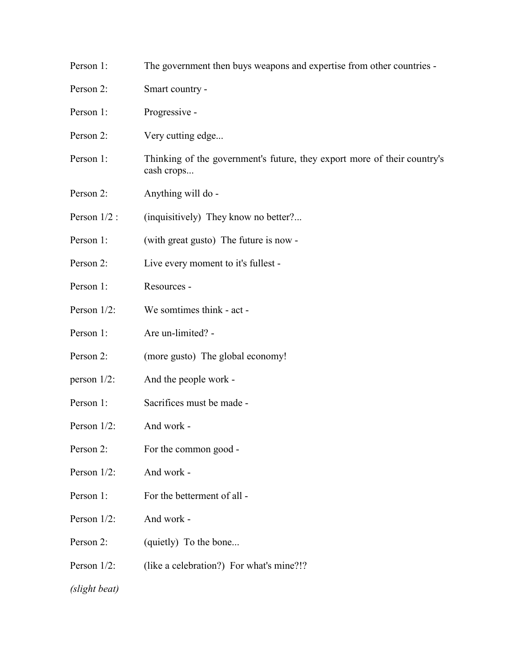Person 1: The government then buys weapons and expertise from other countries - Person 2: Smart country -Person 1: Progressive -Person 2: Very cutting edge... Person 1: Thinking of the government's future, they export more of their country's cash crops... Person 2: Anything will do -Person  $1/2$ : (inquisitively) They know no better?... Person 1: (with great gusto) The future is now -Person 2: Live every moment to it's fullest -Person 1: Resources - Person 1/2: We somtimes think - act - Person 1: Are un-limited? -Person 2: (more gusto) The global economy! person 1/2: And the people work - Person 1: Sacrifices must be made - Person  $1/2$ : And work -Person 2: For the common good -Person 1/2: And work - Person 1: For the betterment of all -Person 1/2: And work - Person 2: (quietly) To the bone... Person 1/2: (like a celebration?) For what's mine?!? *(slight beat)*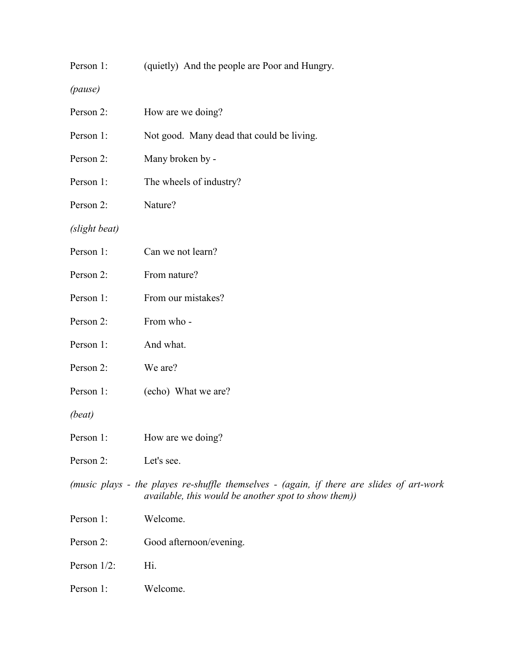| Person 1: |  | (quietly) And the people are Poor and Hungry. |  |
|-----------|--|-----------------------------------------------|--|
|           |  |                                               |  |

*(pause)*

| Person 2:                                                                                                                                               | How are we doing?                         |
|---------------------------------------------------------------------------------------------------------------------------------------------------------|-------------------------------------------|
| Person 1:                                                                                                                                               | Not good. Many dead that could be living. |
| Person 2:                                                                                                                                               | Many broken by -                          |
| Person 1:                                                                                                                                               | The wheels of industry?                   |
| Person 2:                                                                                                                                               | Nature?                                   |
| (slight beat)                                                                                                                                           |                                           |
| Person 1:                                                                                                                                               | Can we not learn?                         |
| Person 2:                                                                                                                                               | From nature?                              |
| Person 1:                                                                                                                                               | From our mistakes?                        |
| Person 2:                                                                                                                                               | From who -                                |
| Person 1:                                                                                                                                               | And what.                                 |
| Person 2:                                                                                                                                               | We are?                                   |
| Person 1:                                                                                                                                               | (echo) What we are?                       |
| (beat)                                                                                                                                                  |                                           |
| Person 1:                                                                                                                                               | How are we doing?                         |
| Person 2:                                                                                                                                               | Let's see.                                |
| (music plays - the playes re-shuffle themselves - (again, if there are slides of art-work<br><i>available, this would be another spot to show them)</i> |                                           |
| Person 1:                                                                                                                                               | Welcome.                                  |
| Person 2:                                                                                                                                               | Good afternoon/evening.                   |
| Person 1/2:                                                                                                                                             | Hi.                                       |
| Person 1:                                                                                                                                               | Welcome.                                  |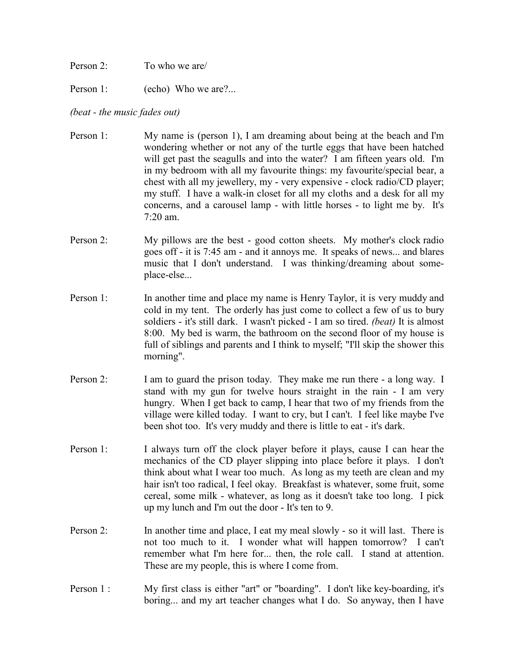- Person 2: To who we are/
- Person 1: (echo) Who we are?...

## *(beat - the music fades out)*

- Person 1: My name is (person 1), I am dreaming about being at the beach and I'm wondering whether or not any of the turtle eggs that have been hatched will get past the seagulls and into the water? I am fifteen years old. I'm in my bedroom with all my favourite things: my favourite/special bear, a chest with all my jewellery, my - very expensive - clock radio/CD player; my stuff. I have a walk-in closet for all my cloths and a desk for all my concerns, and a carousel lamp - with little horses - to light me by. It's 7:20 am.
- Person 2: My pillows are the best good cotton sheets. My mother's clock radio goes off - it is 7:45 am - and it annoys me. It speaks of news... and blares music that I don't understand. I was thinking/dreaming about someplace-else...
- Person 1: In another time and place my name is Henry Taylor, it is very muddy and cold in my tent. The orderly has just come to collect a few of us to bury soldiers - it's still dark. I wasn't picked - I am so tired. *(beat)* It is almost 8:00. My bed is warm, the bathroom on the second floor of my house is full of siblings and parents and I think to myself; "I'll skip the shower this morning".
- Person 2: I am to guard the prison today. They make me run there a long way. I stand with my gun for twelve hours straight in the rain - I am very hungry. When I get back to camp, I hear that two of my friends from the village were killed today. I want to cry, but I can't. I feel like maybe I've been shot too. It's very muddy and there is little to eat - it's dark.
- Person 1: I always turn off the clock player before it plays, cause I can hear the mechanics of the CD player slipping into place before it plays. I don't think about what I wear too much. As long as my teeth are clean and my hair isn't too radical, I feel okay. Breakfast is whatever, some fruit, some cereal, some milk - whatever, as long as it doesn't take too long. I pick up my lunch and I'm out the door - It's ten to 9.
- Person 2: In another time and place, I eat my meal slowly so it will last. There is not too much to it. I wonder what will happen tomorrow? I can't remember what I'm here for... then, the role call. I stand at attention. These are my people, this is where I come from.
- Person 1 : My first class is either "art" or "boarding". I don't like key-boarding, it's boring... and my art teacher changes what I do. So anyway, then I have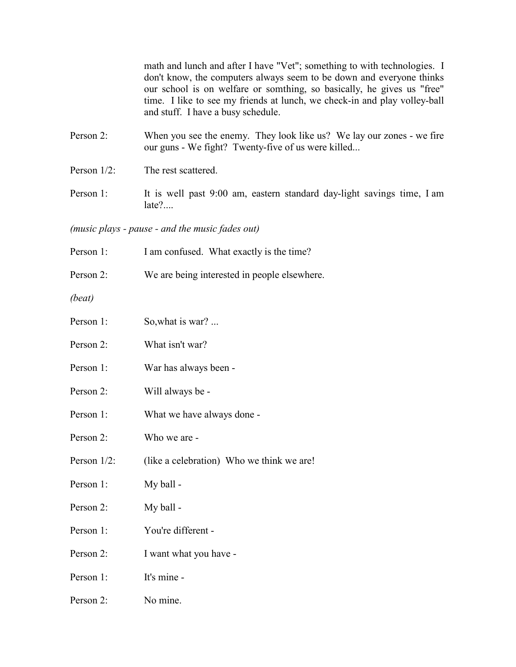math and lunch and after I have "Vet"; something to with technologies. I don't know, the computers always seem to be down and everyone thinks our school is on welfare or somthing, so basically, he gives us "free" time. I like to see my friends at lunch, we check-in and play volley-ball and stuff. I have a busy schedule.

- Person 2: When you see the enemy. They look like us? We lay our zones we fire our guns - We fight? Twenty-five of us were killed...
- Person  $1/2$ : The rest scattered.
- Person 1: It is well past 9:00 am, eastern standard day-light savings time, I am late?....

*(music plays - pause - and the music fades out)*

- Person 1: I am confused. What exactly is the time?
- Person 2: We are being interested in people elsewhere.

*(beat)*

| Person 1:   | So, what is war?                          |
|-------------|-------------------------------------------|
| Person 2:   | What isn't war?                           |
| Person 1:   | War has always been -                     |
| Person 2:   | Will always be -                          |
| Person 1:   | What we have always done -                |
| Person 2:   | Who we are -                              |
| Person 1/2: | (like a celebration) Who we think we are! |
| Person 1:   | My ball -                                 |
| Person 2:   | My ball -                                 |
| Person 1:   | You're different -                        |
| Person 2:   | I want what you have -                    |
| Person 1:   | It's mine -                               |
| Person 2:   | No mine.                                  |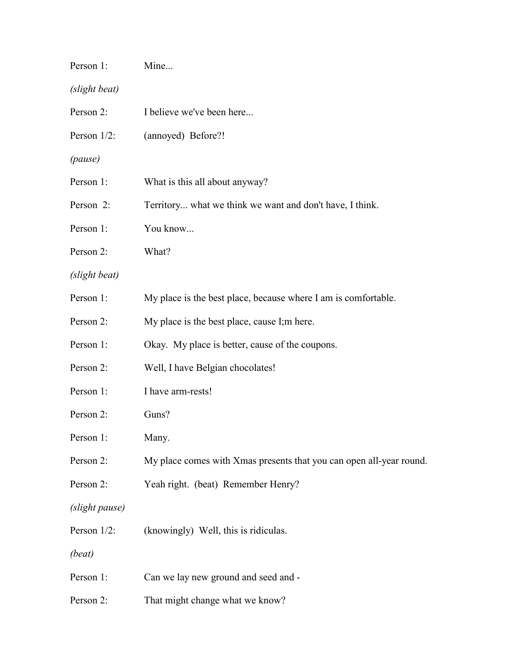| Person 1:      | Mine                                                                |
|----------------|---------------------------------------------------------------------|
| (slight beat)  |                                                                     |
| Person 2:      | I believe we've been here                                           |
| Person $1/2$ : | (annoyed) Before?!                                                  |
| (pause)        |                                                                     |
| Person 1:      | What is this all about anyway?                                      |
| Person 2:      | Territory what we think we want and don't have, I think.            |
| Person 1:      | You know                                                            |
| Person 2:      | What?                                                               |
| (slight beat)  |                                                                     |
| Person 1:      | My place is the best place, because where I am is comfortable.      |
| Person 2:      | My place is the best place, cause I; m here.                        |
| Person 1:      | Okay. My place is better, cause of the coupons.                     |
| Person 2:      | Well, I have Belgian chocolates!                                    |
| Person 1:      | I have arm-rests!                                                   |
| Person 2:      | Guns?                                                               |
| Person 1:      | Many.                                                               |
| Person 2:      | My place comes with Xmas presents that you can open all-year round. |
| Person 2:      | Yeah right. (beat) Remember Henry?                                  |
| (slight pause) |                                                                     |
| Person 1/2:    | (knowingly) Well, this is ridiculas.                                |
| (beat)         |                                                                     |
| Person 1:      | Can we lay new ground and seed and -                                |
| Person 2:      | That might change what we know?                                     |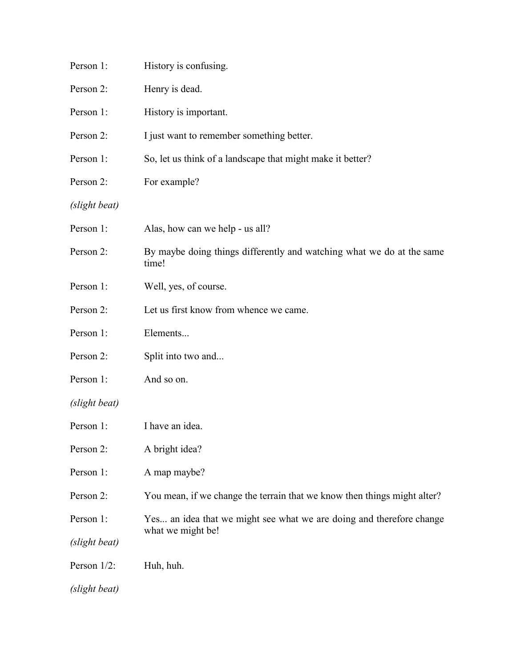| Person 1:     | History is confusing.                                                                     |
|---------------|-------------------------------------------------------------------------------------------|
| Person 2:     | Henry is dead.                                                                            |
| Person 1:     | History is important.                                                                     |
| Person 2:     | I just want to remember something better.                                                 |
| Person 1:     | So, let us think of a landscape that might make it better?                                |
| Person 2:     | For example?                                                                              |
| (slight beat) |                                                                                           |
| Person 1:     | Alas, how can we help - us all?                                                           |
| Person 2:     | By maybe doing things differently and watching what we do at the same<br>time!            |
| Person 1:     | Well, yes, of course.                                                                     |
| Person 2:     | Let us first know from whence we came.                                                    |
| Person 1:     | Elements                                                                                  |
| Person 2:     | Split into two and                                                                        |
| Person 1:     | And so on.                                                                                |
| (slight beat) |                                                                                           |
| Person 1:     | I have an idea.                                                                           |
| Person 2:     | A bright idea?                                                                            |
| Person 1:     | A map maybe?                                                                              |
| Person 2:     | You mean, if we change the terrain that we know then things might alter?                  |
| Person 1:     | Yes an idea that we might see what we are doing and therefore change<br>what we might be! |
| (slight beat) |                                                                                           |
| Person 1/2:   | Huh, huh.                                                                                 |
| (slight beat) |                                                                                           |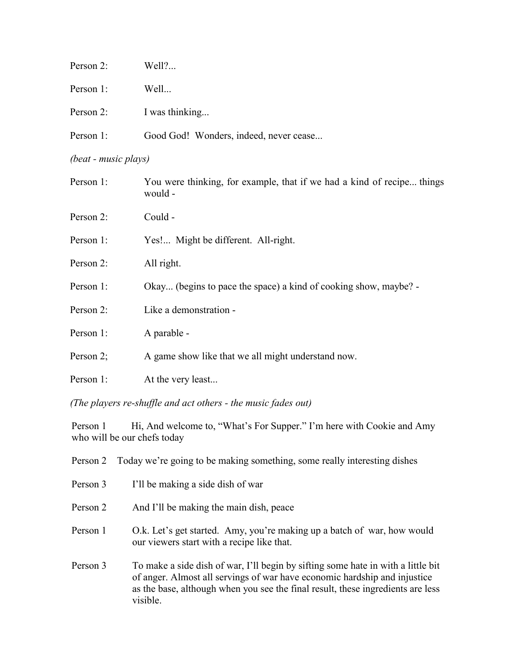| Person 2:            | Well?                                                                             |  |  |
|----------------------|-----------------------------------------------------------------------------------|--|--|
| Person 1:            | Well                                                                              |  |  |
| Person 2:            | I was thinking                                                                    |  |  |
| Person 1:            | Good God! Wonders, indeed, never cease                                            |  |  |
| (beat - music plays) |                                                                                   |  |  |
| Person 1:            | You were thinking, for example, that if we had a kind of recipe things<br>would - |  |  |
| Person 2:            | Could -                                                                           |  |  |
| Person 1:            | Yes! Might be different. All-right.                                               |  |  |
| Person 2:            | All right.                                                                        |  |  |
| Person 1:            | Okay (begins to pace the space) a kind of cooking show, maybe? -                  |  |  |
| Person 2:            | Like a demonstration -                                                            |  |  |
| Person 1:            | A parable -                                                                       |  |  |
| Person 2;            | A game show like that we all might understand now.                                |  |  |

Person 1: At the very least...

*(The players re-shuffle and act others - the music fades out)*

Person 1 Hi, And welcome to, "What's For Supper." I'm here with Cookie and Amy who will be our chefs today

| Person 2 | Today we're going to be making something, some really interesting dishes                                                                                                                                                                                     |
|----------|--------------------------------------------------------------------------------------------------------------------------------------------------------------------------------------------------------------------------------------------------------------|
| Person 3 | I'll be making a side dish of war                                                                                                                                                                                                                            |
| Person 2 | And I'll be making the main dish, peace                                                                                                                                                                                                                      |
| Person 1 | O.k. Let's get started. Amy, you're making up a batch of war, how would<br>our viewers start with a recipe like that.                                                                                                                                        |
| Person 3 | To make a side dish of war, I'll begin by sifting some hate in with a little bit<br>of anger. Almost all servings of war have economic hardship and injustice<br>as the base, although when you see the final result, these ingredients are less<br>visible. |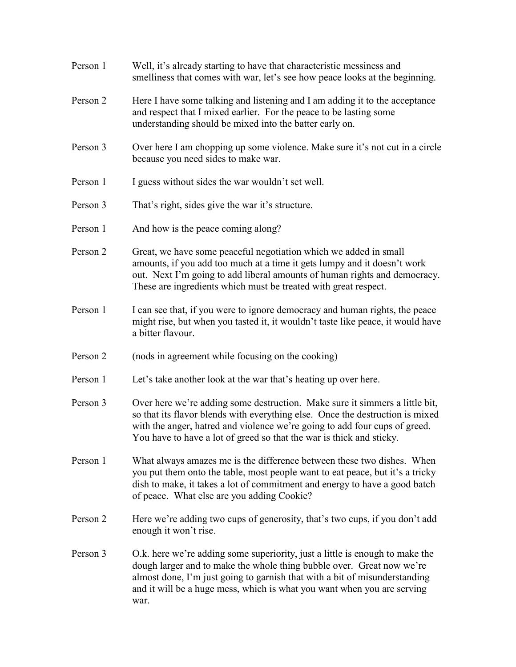| Person 1 | Well, it's already starting to have that characteristic messiness and<br>smelliness that comes with war, let's see how peace looks at the beginning.                                                                                                                                                                   |  |  |
|----------|------------------------------------------------------------------------------------------------------------------------------------------------------------------------------------------------------------------------------------------------------------------------------------------------------------------------|--|--|
| Person 2 | Here I have some talking and listening and I am adding it to the acceptance<br>and respect that I mixed earlier. For the peace to be lasting some<br>understanding should be mixed into the batter early on.                                                                                                           |  |  |
| Person 3 | Over here I am chopping up some violence. Make sure it's not cut in a circle<br>because you need sides to make war.                                                                                                                                                                                                    |  |  |
| Person 1 | I guess without sides the war wouldn't set well.                                                                                                                                                                                                                                                                       |  |  |
| Person 3 | That's right, sides give the war it's structure.                                                                                                                                                                                                                                                                       |  |  |
| Person 1 | And how is the peace coming along?                                                                                                                                                                                                                                                                                     |  |  |
| Person 2 | Great, we have some peaceful negotiation which we added in small<br>amounts, if you add too much at a time it gets lumpy and it doesn't work<br>out. Next I'm going to add liberal amounts of human rights and democracy.<br>These are ingredients which must be treated with great respect.                           |  |  |
| Person 1 | I can see that, if you were to ignore democracy and human rights, the peace<br>might rise, but when you tasted it, it wouldn't taste like peace, it would have<br>a bitter flavour.                                                                                                                                    |  |  |
| Person 2 | (nods in agreement while focusing on the cooking)                                                                                                                                                                                                                                                                      |  |  |
| Person 1 | Let's take another look at the war that's heating up over here.                                                                                                                                                                                                                                                        |  |  |
| Person 3 | Over here we're adding some destruction. Make sure it simmers a little bit,<br>so that its flavor blends with everything else. Once the destruction is mixed<br>with the anger, hatred and violence we're going to add four cups of greed.<br>You have to have a lot of greed so that the war is thick and sticky.     |  |  |
| Person 1 | What always amazes me is the difference between these two dishes. When<br>you put them onto the table, most people want to eat peace, but it's a tricky<br>dish to make, it takes a lot of commitment and energy to have a good batch<br>of peace. What else are you adding Cookie?                                    |  |  |
| Person 2 | Here we're adding two cups of generosity, that's two cups, if you don't add<br>enough it won't rise.                                                                                                                                                                                                                   |  |  |
| Person 3 | O.k. here we're adding some superiority, just a little is enough to make the<br>dough larger and to make the whole thing bubble over. Great now we're<br>almost done, I'm just going to garnish that with a bit of misunderstanding<br>and it will be a huge mess, which is what you want when you are serving<br>war. |  |  |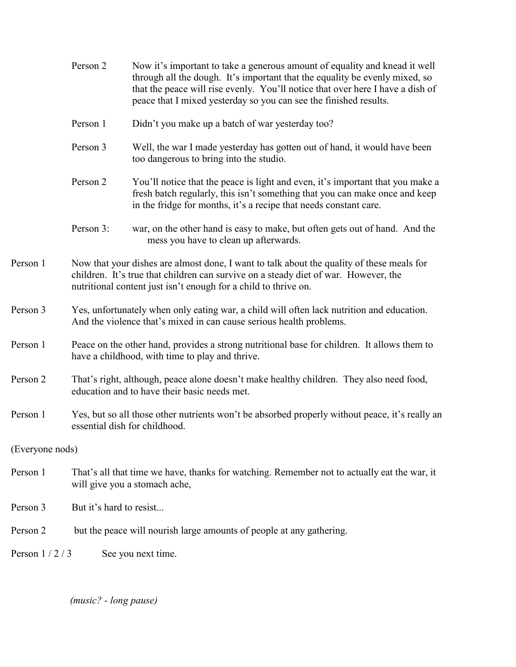|                 | Person 2                                                                                                                                                                                                                                            | Now it's important to take a generous amount of equality and knead it well<br>through all the dough. It's important that the equality be evenly mixed, so<br>that the peace will rise evenly. You'll notice that over here I have a dish of<br>peace that I mixed yesterday so you can see the finished results. |  |
|-----------------|-----------------------------------------------------------------------------------------------------------------------------------------------------------------------------------------------------------------------------------------------------|------------------------------------------------------------------------------------------------------------------------------------------------------------------------------------------------------------------------------------------------------------------------------------------------------------------|--|
|                 | Person 1                                                                                                                                                                                                                                            | Didn't you make up a batch of war yesterday too?                                                                                                                                                                                                                                                                 |  |
|                 | Person 3                                                                                                                                                                                                                                            | Well, the war I made yesterday has gotten out of hand, it would have been<br>too dangerous to bring into the studio.                                                                                                                                                                                             |  |
|                 | Person 2                                                                                                                                                                                                                                            | You'll notice that the peace is light and even, it's important that you make a<br>fresh batch regularly, this isn't something that you can make once and keep<br>in the fridge for months, it's a recipe that needs constant care.                                                                               |  |
|                 | Person 3:                                                                                                                                                                                                                                           | war, on the other hand is easy to make, but often gets out of hand. And the<br>mess you have to clean up afterwards.                                                                                                                                                                                             |  |
| Person 1        | Now that your dishes are almost done, I want to talk about the quality of these meals for<br>children. It's true that children can survive on a steady diet of war. However, the<br>nutritional content just isn't enough for a child to thrive on. |                                                                                                                                                                                                                                                                                                                  |  |
| Person 3        | Yes, unfortunately when only eating war, a child will often lack nutrition and education.<br>And the violence that's mixed in can cause serious health problems.                                                                                    |                                                                                                                                                                                                                                                                                                                  |  |
| Person 1        | Peace on the other hand, provides a strong nutritional base for children. It allows them to<br>have a childhood, with time to play and thrive.                                                                                                      |                                                                                                                                                                                                                                                                                                                  |  |
| Person 2        | That's right, although, peace alone doesn't make healthy children. They also need food,<br>education and to have their basic needs met.                                                                                                             |                                                                                                                                                                                                                                                                                                                  |  |
| Person 1        | Yes, but so all those other nutrients won't be absorbed properly without peace, it's really an<br>essential dish for childhood.                                                                                                                     |                                                                                                                                                                                                                                                                                                                  |  |
| (Everyone nods) |                                                                                                                                                                                                                                                     |                                                                                                                                                                                                                                                                                                                  |  |
| Person 1        | That's all that time we have, thanks for watching. Remember not to actually eat the war, it<br>will give you a stomach ache,                                                                                                                        |                                                                                                                                                                                                                                                                                                                  |  |
| Person 3        | But it's hard to resist                                                                                                                                                                                                                             |                                                                                                                                                                                                                                                                                                                  |  |
| Person 2        |                                                                                                                                                                                                                                                     | but the peace will nourish large amounts of people at any gathering.                                                                                                                                                                                                                                             |  |
| Person $1/2/3$  |                                                                                                                                                                                                                                                     | See you next time.                                                                                                                                                                                                                                                                                               |  |
|                 |                                                                                                                                                                                                                                                     |                                                                                                                                                                                                                                                                                                                  |  |

*(music? - long pause)*